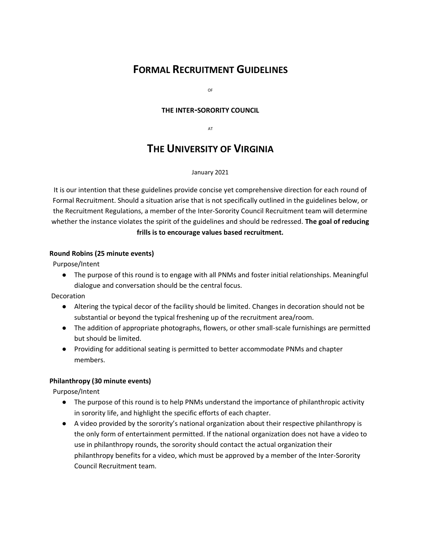# **FORMAL RECRUITMENT GUIDELINES**

OF

## **THE INTER-SORORITY COUNCIL**

AT

# **THE UNIVERSITY OF VIRGINIA**

#### January 2021

It is our intention that these guidelines provide concise yet comprehensive direction for each round of Formal Recruitment. Should a situation arise that is not specifically outlined in the guidelines below, or the Recruitment Regulations, a member of the Inter-Sorority Council Recruitment team will determine whether the instance violates the spirit of the guidelines and should be redressed. **The goal of reducing frills is to encourage values based recruitment.** 

### **Round Robins (25 minute events)**

Purpose/Intent

● The purpose of this round is to engage with all PNMs and foster initial relationships. Meaningful dialogue and conversation should be the central focus.

Decoration

- Altering the typical decor of the facility should be limited. Changes in decoration should not be substantial or beyond the typical freshening up of the recruitment area/room.
- The addition of appropriate photographs, flowers, or other small-scale furnishings are permitted but should be limited.
- Providing for additional seating is permitted to better accommodate PNMs and chapter members.

## **Philanthropy (30 minute events)**

Purpose/Intent

- The purpose of this round is to help PNMs understand the importance of philanthropic activity in sorority life, and highlight the specific efforts of each chapter.
- A video provided by the sorority's national organization about their respective philanthropy is the only form of entertainment permitted. If the national organization does not have a video to use in philanthropy rounds, the sorority should contact the actual organization their philanthropy benefits for a video, which must be approved by a member of the Inter-Sorority Council Recruitment team.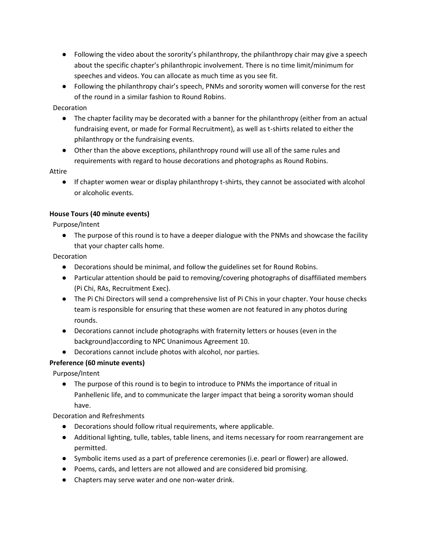- Following the video about the sorority's philanthropy, the philanthropy chair may give a speech about the specific chapter's philanthropic involvement. There is no time limit/minimum for speeches and videos. You can allocate as much time as you see fit.
- Following the philanthropy chair's speech, PNMs and sorority women will converse for the rest of the round in a similar fashion to Round Robins.

**Decoration** 

- The chapter facility may be decorated with a banner for the philanthropy (either from an actual fundraising event, or made for Formal Recruitment), as well as t-shirts related to either the philanthropy or the fundraising events.
- Other than the above exceptions, philanthropy round will use all of the same rules and requirements with regard to house decorations and photographs as Round Robins.

Attire

● If chapter women wear or display philanthropy t-shirts, they cannot be associated with alcohol or alcoholic events.

# **House Tours (40 minute events)**

Purpose/Intent

● The purpose of this round is to have a deeper dialogue with the PNMs and showcase the facility that your chapter calls home.

**Decoration** 

- Decorations should be minimal, and follow the guidelines set for Round Robins.
- Particular attention should be paid to removing/covering photographs of disaffiliated members (Pi Chi, RAs, Recruitment Exec).
- The Pi Chi Directors will send a comprehensive list of Pi Chis in your chapter. Your house checks team is responsible for ensuring that these women are not featured in any photos during rounds.
- Decorations cannot include photographs with fraternity letters or houses (even in the background)according to NPC Unanimous Agreement 10.
- Decorations cannot include photos with alcohol, nor parties.

# **Preference (60 minute events)**

Purpose/Intent

● The purpose of this round is to begin to introduce to PNMs the importance of ritual in Panhellenic life, and to communicate the larger impact that being a sorority woman should have.

Decoration and Refreshments

- Decorations should follow ritual requirements, where applicable.
- Additional lighting, tulle, tables, table linens, and items necessary for room rearrangement are permitted.
- Symbolic items used as a part of preference ceremonies (i.e. pearl or flower) are allowed.
- Poems, cards, and letters are not allowed and are considered bid promising.
- Chapters may serve water and one non-water drink.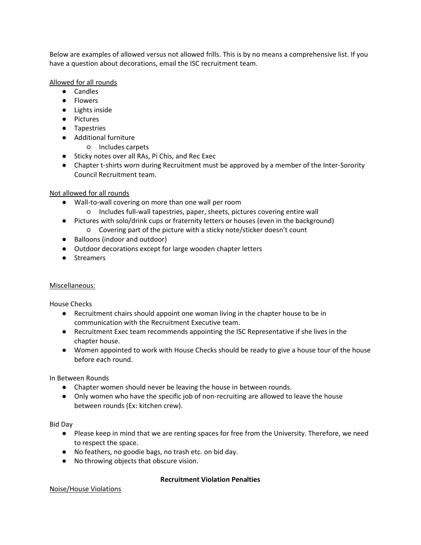Below are examples of allowed versus not allowed frills. This is by no means a comprehensive list. If you have a question about decorations, email the ISC recruitment team.

## Allowed for all rounds

- Candles
- Flowers
- Lights inside
- Pictures
- Tapestries
- Additional furniture
	- Includes carpets
- Sticky notes over all RAs, Pi Chis, and Rec Exec
- Chapter t-shirts worn during Recruitment must be approved by a member of the Inter-Sorority Council Recruitment team.

## Not allowed for all rounds

- Wall-to-wall covering on more than one wall per room
	- Includes full-wall tapestries, paper, sheets, pictures covering entire wall
- Pictures with solo/drink cups or fraternity letters or houses (even in the background)
	- Covering part of the picture with a sticky note/sticker doesn't count
- Balloons (indoor and outdoor)
- Outdoor decorations except for large wooden chapter letters
- Streamers

## Miscellaneous:

House Checks

- Recruitment chairs should appoint one woman living in the chapter house to be in communication with the Recruitment Executive team.
- Recruitment Exec team recommends appointing the ISC Representative if she lives in the chapter house.
- Women appointed to work with House Checks should be ready to give a house tour of the house before each round.

In Between Rounds

- Chapter women should never be leaving the house in between rounds.
- Only women who have the specific job of non-recruiting are allowed to leave the house between rounds (Ex: kitchen crew).

Bid Day

- Please keep in mind that we are renting spaces for free from the University. Therefore, we need to respect the space.
- No feathers, no goodie bags, no trash etc. on bid day.
- No throwing objects that obscure vision.

## **Recruitment Violation Penalties**

Noise/House Violations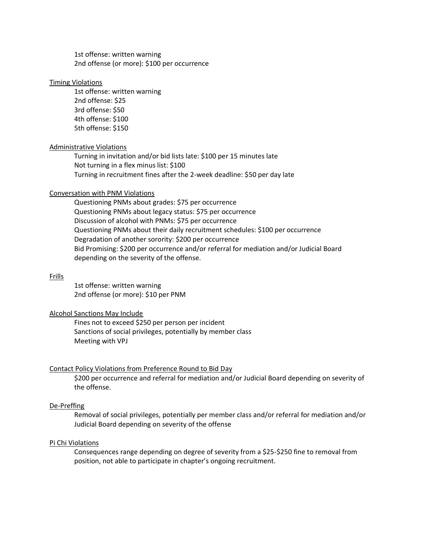1st offense: written warning 2nd offense (or more): \$100 per occurrence

#### Timing Violations

1st offense: written warning 2nd offense: \$25 3rd offense: \$50 4th offense: \$100 5th offense: \$150

#### Administrative Violations

Turning in invitation and/or bid lists late: \$100 per 15 minutes late Not turning in a flex minus list: \$100 Turning in recruitment fines after the 2-week deadline: \$50 per day late

### Conversation with PNM Violations

Questioning PNMs about grades: \$75 per occurrence Questioning PNMs about legacy status: \$75 per occurrence Discussion of alcohol with PNMs: \$75 per occurrence Questioning PNMs about their daily recruitment schedules: \$100 per occurrence Degradation of another sorority: \$200 per occurrence Bid Promising: \$200 per occurrence and/or referral for mediation and/or Judicial Board depending on the severity of the offense.

#### Frills

1st offense: written warning 2nd offense (or more): \$10 per PNM

#### Alcohol Sanctions May Include

Fines not to exceed \$250 per person per incident Sanctions of social privileges, potentially by member class Meeting with VPJ

#### Contact Policy Violations from Preference Round to Bid Day

\$200 per occurrence and referral for mediation and/or Judicial Board depending on severity of the offense.

#### De-Preffing

Removal of social privileges, potentially per member class and/or referral for mediation and/or Judicial Board depending on severity of the offense

#### Pi Chi Violations

Consequences range depending on degree of severity from a \$25-\$250 fine to removal from position, not able to participate in chapter's ongoing recruitment.